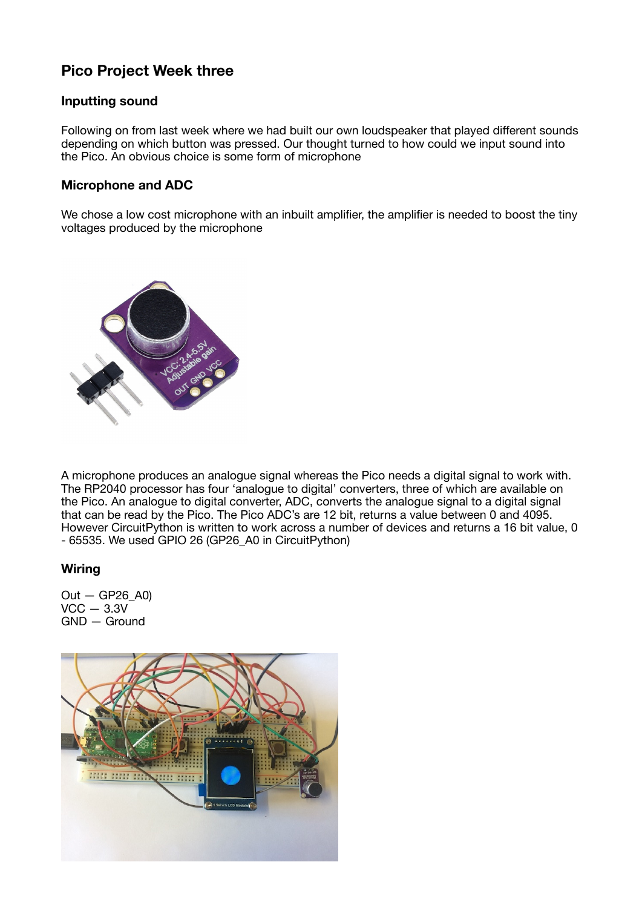# **Pico Project Week three**

## **Inputting sound**

Following on from last week where we had built our own loudspeaker that played different sounds depending on which button was pressed. Our thought turned to how could we input sound into the Pico. An obvious choice is some form of microphone

## **Microphone and ADC**

We chose a low cost microphone with an inbuilt amplifier, the amplifier is needed to boost the tiny voltages produced by the microphone



A microphone produces an analogue signal whereas the Pico needs a digital signal to work with. The RP2040 processor has four 'analogue to digital' converters, three of which are available on the Pico. An analogue to digital converter, ADC, converts the analogue signal to a digital signal that can be read by the Pico. The Pico ADC's are 12 bit, returns a value between 0 and 4095. However CircuitPython is written to work across a number of devices and returns a 16 bit value, 0 - 65535. We used GPIO 26 (GP26\_A0 in CircuitPython)

#### **Wiring**

 $Out - GP26 A0$  $VCC - 3.3V$ GND — Ground

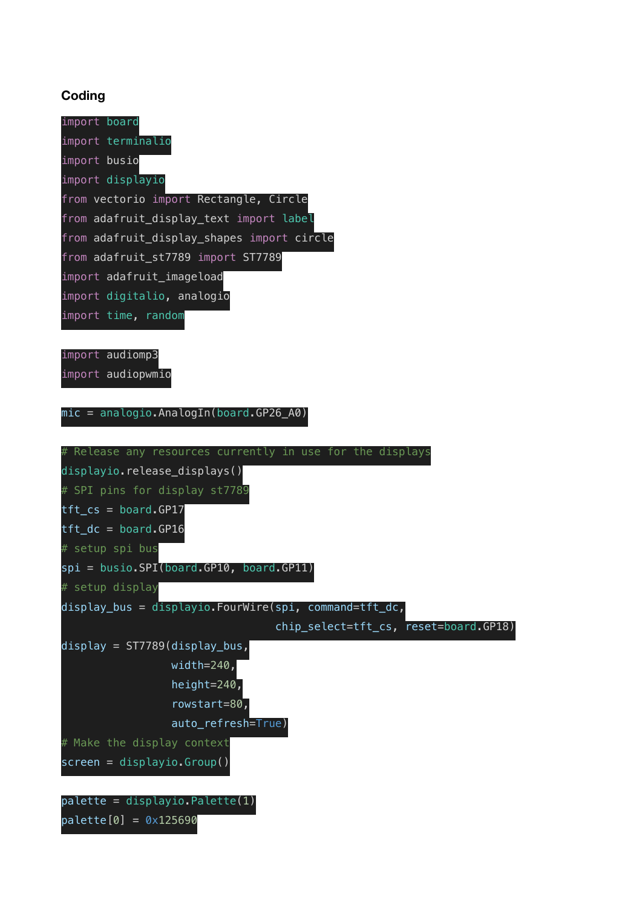## **Coding**

| import board                               |
|--------------------------------------------|
| import terminalio                          |
| import busio                               |
| import displayio                           |
| from vectorio import Rectangle, Circle     |
| from adafruit_display_text import label    |
| from adafruit_display_shapes import circle |
| from adafruit_st7789 import ST7789         |
| import adafruit_imageload                  |
| import digitalio, analogio                 |
| import time, random                        |
|                                            |

import audiomp3

import audiopwmio

mic = analogio.AnalogIn(board.GP26\_A0)

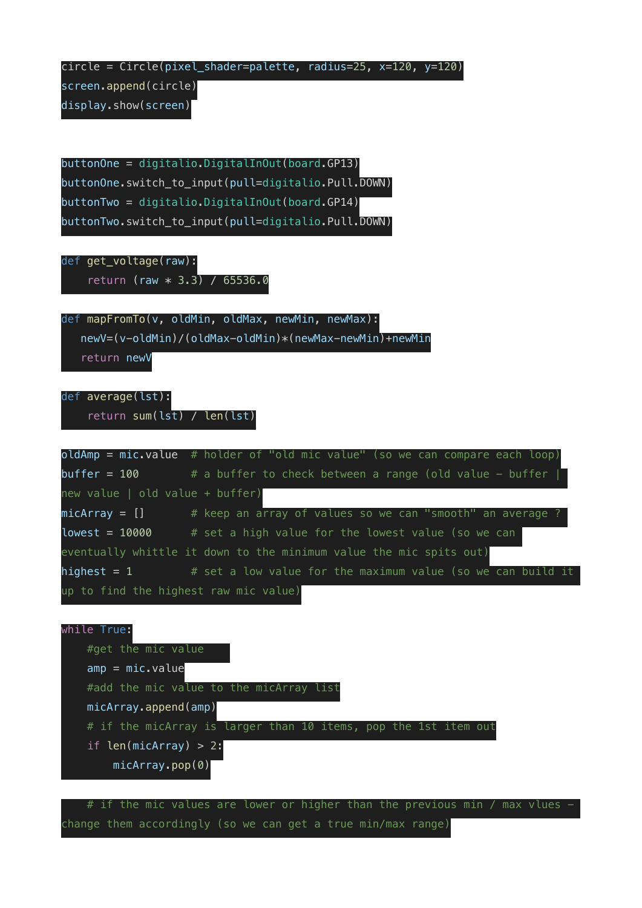circle = Circle(pixel\_shader=palette, radius=25, x=120, y=120)

screen.append(circle)

display.show(screen)

buttonOne = digitalio.DigitalInOut(board.GP13) buttonOne.switch\_to\_input(pull=digitalio.Pull.DOWN) buttonTwo = digitalio.DigitalInOut(board.GP14) buttonTwo.switch\_to\_input(pull=digitalio.Pull.DOWN)

def get voltage(raw): return (raw \* 3.3) / 65536.0

def mapFromTo(v, oldMin, oldMax, newMin, newMax):

newV=(v-oldMin)/(oldMax-oldMin)\*(newMax-newMin)+newMin

return newV

def average(lst): return sum(lst) / len(lst)

 $oldAmp = mic.value # holder of "old mic value" (so we can compare each loop)$ buffer =  $100$  # a buffer to check between a range (old value - buffer new value | old value + buffer)  $micArray = []$  # keep an array of values so we can "smooth" an average ? lowest =  $10000$  # set a high value for the lowest value (so we can eventually whittle it down to the minimum value the mic spits out) highest = 1  $#$  set a low value for the maximum value (so we can build it up to find the highest raw mic value)



# if the mic values are lower or higher than the previous min / max vlues change them accordingly (so we can get a true min/max range)